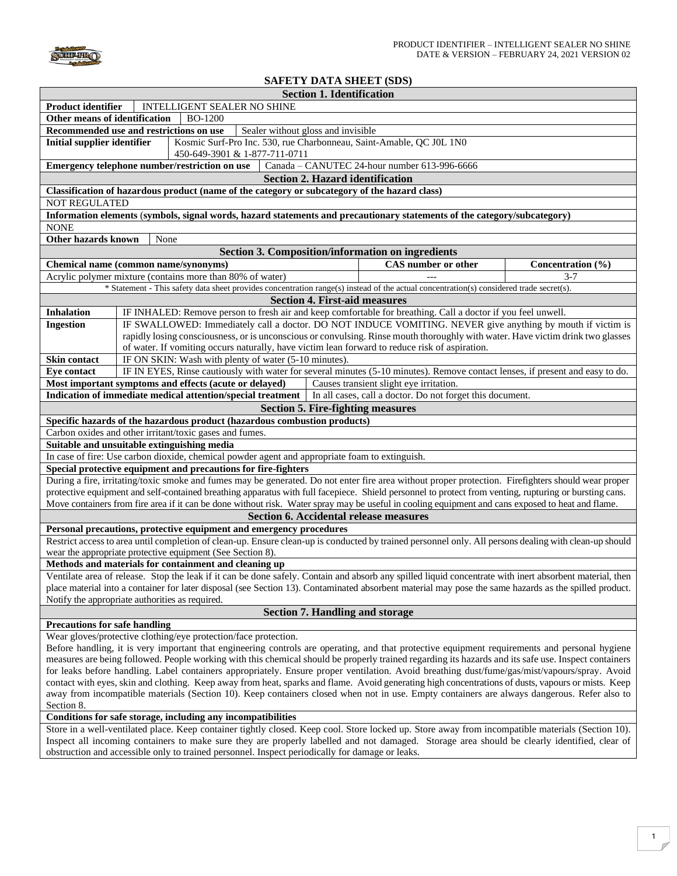

## **SAFETY DATA SHEET (SDS)**

|                                                                                                                                                        | <b>Section 1. Identification</b>                                                                                                                                                                                                              |                                              |                   |  |
|--------------------------------------------------------------------------------------------------------------------------------------------------------|-----------------------------------------------------------------------------------------------------------------------------------------------------------------------------------------------------------------------------------------------|----------------------------------------------|-------------------|--|
| INTELLIGENT SEALER NO SHINE<br><b>Product identifier</b>                                                                                               |                                                                                                                                                                                                                                               |                                              |                   |  |
| Other means of identification<br><b>BO-1200</b>                                                                                                        |                                                                                                                                                                                                                                               |                                              |                   |  |
|                                                                                                                                                        | Recommended use and restrictions on use<br>Sealer without gloss and invisible                                                                                                                                                                 |                                              |                   |  |
| <b>Initial supplier identifier</b>                                                                                                                     | Kosmic Surf-Pro Inc. 530, rue Charbonneau, Saint-Amable, QC J0L 1N0                                                                                                                                                                           |                                              |                   |  |
|                                                                                                                                                        | 450-649-3901 & 1-877-711-0711                                                                                                                                                                                                                 |                                              |                   |  |
|                                                                                                                                                        | Emergency telephone number/restriction on use                                                                                                                                                                                                 | Canada - CANUTEC 24-hour number 613-996-6666 |                   |  |
|                                                                                                                                                        | <b>Section 2. Hazard identification</b>                                                                                                                                                                                                       |                                              |                   |  |
|                                                                                                                                                        | Classification of hazardous product (name of the category or subcategory of the hazard class)                                                                                                                                                 |                                              |                   |  |
| <b>NOT REGULATED</b>                                                                                                                                   |                                                                                                                                                                                                                                               |                                              |                   |  |
|                                                                                                                                                        | Information elements (symbols, signal words, hazard statements and precautionary statements of the category/subcategory)                                                                                                                      |                                              |                   |  |
| <b>NONE</b>                                                                                                                                            |                                                                                                                                                                                                                                               |                                              |                   |  |
| Other hazards known                                                                                                                                    | None                                                                                                                                                                                                                                          |                                              |                   |  |
|                                                                                                                                                        | <b>Section 3. Composition/information on ingredients</b>                                                                                                                                                                                      |                                              |                   |  |
|                                                                                                                                                        | Chemical name (common name/synonyms)                                                                                                                                                                                                          | CAS number or other                          | Concentration (%) |  |
|                                                                                                                                                        | Acrylic polymer mixture (contains more than 80% of water)                                                                                                                                                                                     |                                              | $3 - 7$           |  |
|                                                                                                                                                        | * Statement - This safety data sheet provides concentration range(s) instead of the actual concentration(s) considered trade secret(s).                                                                                                       |                                              |                   |  |
|                                                                                                                                                        |                                                                                                                                                                                                                                               |                                              |                   |  |
| <b>Section 4. First-aid measures</b><br>IF INHALED: Remove person to fresh air and keep comfortable for breathing. Call a doctor if you feel unwell.   |                                                                                                                                                                                                                                               |                                              |                   |  |
| <b>Inhalation</b>                                                                                                                                      |                                                                                                                                                                                                                                               |                                              |                   |  |
| <b>Ingestion</b>                                                                                                                                       | IF SWALLOWED: Immediately call a doctor. DO NOT INDUCE VOMITING. NEVER give anything by mouth if victim is<br>rapidly losing consciousness, or is unconscious or convulsing. Rinse mouth thoroughly with water. Have victim drink two glasses |                                              |                   |  |
|                                                                                                                                                        | of water. If vomiting occurs naturally, have victim lean forward to reduce risk of aspiration.                                                                                                                                                |                                              |                   |  |
| <b>Skin contact</b>                                                                                                                                    |                                                                                                                                                                                                                                               |                                              |                   |  |
|                                                                                                                                                        | IF ON SKIN: Wash with plenty of water (5-10 minutes)                                                                                                                                                                                          |                                              |                   |  |
| <b>Eye contact</b>                                                                                                                                     | IF IN EYES, Rinse cautiously with water for several minutes (5-10 minutes). Remove contact lenses, if present and easy to do.<br>Most important symptoms and effects (acute or delayed)                                                       | Causes transient slight eye irritation.      |                   |  |
|                                                                                                                                                        |                                                                                                                                                                                                                                               |                                              |                   |  |
|                                                                                                                                                        | Indication of immediate medical attention/special treatment   In all cases, call a doctor. Do not forget this document.                                                                                                                       |                                              |                   |  |
|                                                                                                                                                        | <b>Section 5. Fire-fighting measures</b>                                                                                                                                                                                                      |                                              |                   |  |
|                                                                                                                                                        | Specific hazards of the hazardous product (hazardous combustion products)                                                                                                                                                                     |                                              |                   |  |
|                                                                                                                                                        | Carbon oxides and other irritant/toxic gases and fumes.                                                                                                                                                                                       |                                              |                   |  |
|                                                                                                                                                        | Suitable and unsuitable extinguishing media                                                                                                                                                                                                   |                                              |                   |  |
|                                                                                                                                                        | In case of fire: Use carbon dioxide, chemical powder agent and appropriate foam to extinguish.                                                                                                                                                |                                              |                   |  |
|                                                                                                                                                        | Special protective equipment and precautions for fire-fighters                                                                                                                                                                                |                                              |                   |  |
|                                                                                                                                                        | During a fire, irritating/toxic smoke and fumes may be generated. Do not enter fire area without proper protection. Firefighters should wear proper                                                                                           |                                              |                   |  |
|                                                                                                                                                        | protective equipment and self-contained breathing apparatus with full facepiece. Shield personnel to protect from venting, rupturing or bursting cans.                                                                                        |                                              |                   |  |
|                                                                                                                                                        | Move containers from fire area if it can be done without risk. Water spray may be useful in cooling equipment and cans exposed to heat and flame.                                                                                             |                                              |                   |  |
|                                                                                                                                                        | <b>Section 6. Accidental release measures</b>                                                                                                                                                                                                 |                                              |                   |  |
|                                                                                                                                                        | Personal precautions, protective equipment and emergency procedures                                                                                                                                                                           |                                              |                   |  |
| Restrict access to area until completion of clean-up. Ensure clean-up is conducted by trained personnel only. All persons dealing with clean-up should |                                                                                                                                                                                                                                               |                                              |                   |  |
| wear the appropriate protective equipment (See Section 8).                                                                                             |                                                                                                                                                                                                                                               |                                              |                   |  |
| Methods and materials for containment and cleaning up                                                                                                  |                                                                                                                                                                                                                                               |                                              |                   |  |
|                                                                                                                                                        | Ventilate area of release. Stop the leak if it can be done safely. Contain and absorb any spilled liquid concentrate with inert absorbent material, then                                                                                      |                                              |                   |  |
|                                                                                                                                                        | place material into a container for later disposal (see Section 13). Contaminated absorbent material may pose the same hazards as the spilled product.                                                                                        |                                              |                   |  |
|                                                                                                                                                        | Notify the appropriate authorities as required.                                                                                                                                                                                               |                                              |                   |  |
| <b>Section 7. Handling and storage</b>                                                                                                                 |                                                                                                                                                                                                                                               |                                              |                   |  |
| <b>Precautions for safe handling</b>                                                                                                                   |                                                                                                                                                                                                                                               |                                              |                   |  |
| Wear gloves/protective clothing/eye protection/face protection.                                                                                        |                                                                                                                                                                                                                                               |                                              |                   |  |
| Before handling, it is very important that engineering controls are operating, and that protective equipment requirements and personal hygiene         |                                                                                                                                                                                                                                               |                                              |                   |  |
| measures are being followed. People working with this chemical should be properly trained regarding its hazards and its safe use. Inspect containers   |                                                                                                                                                                                                                                               |                                              |                   |  |
| for leaks before handling. Label containers appropriately. Ensure proper ventilation. Avoid breathing dust/fume/gas/mist/vapours/spray. Avoid          |                                                                                                                                                                                                                                               |                                              |                   |  |
| contact with eyes, skin and clothing. Keep away from heat, sparks and flame. Avoid generating high concentrations of dusts, vapours or mists. Keep     |                                                                                                                                                                                                                                               |                                              |                   |  |
| away from incompatible materials (Section 10). Keep containers closed when not in use. Empty containers are always dangerous. Refer also to            |                                                                                                                                                                                                                                               |                                              |                   |  |
| Section 8.                                                                                                                                             |                                                                                                                                                                                                                                               |                                              |                   |  |
| Conditions for safe storage, including any incompatibilities                                                                                           |                                                                                                                                                                                                                                               |                                              |                   |  |
| Store in a well-ventilated place. Keep container tightly closed. Keep cool. Store locked up. Store away from incompatible materials (Section 10).      |                                                                                                                                                                                                                                               |                                              |                   |  |
| Inspect all incoming containers to make sure they are properly labelled and not damaged. Storage area should be clearly identified, clear of           |                                                                                                                                                                                                                                               |                                              |                   |  |
| obstruction and accessible only to trained personnel. Inspect periodically for damage or leaks.                                                        |                                                                                                                                                                                                                                               |                                              |                   |  |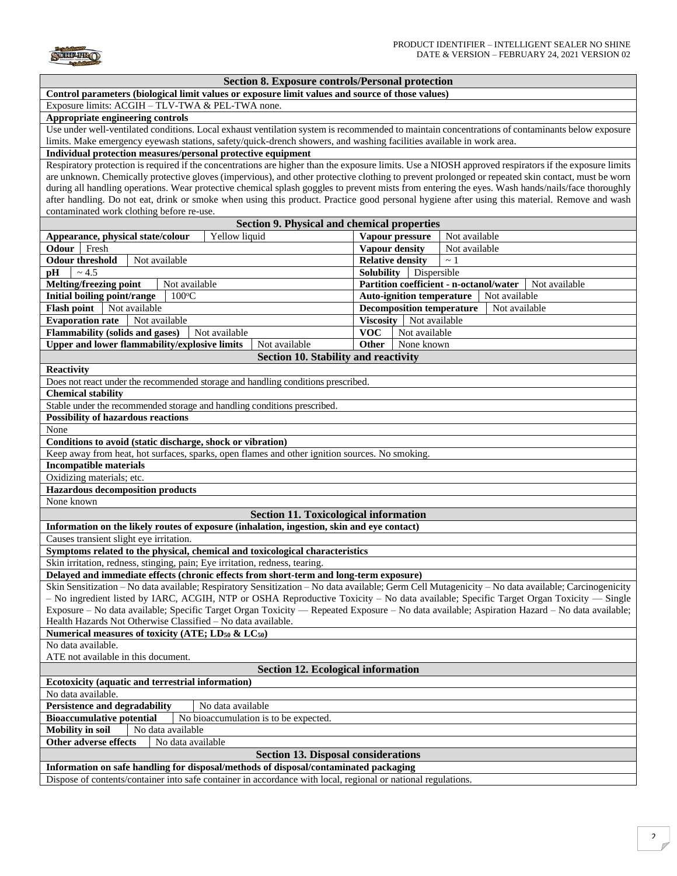**SURFIRO** 

| <b>Section 8. Exposure controls/Personal protection</b>                                                                                               |                                                   |  |  |  |  |
|-------------------------------------------------------------------------------------------------------------------------------------------------------|---------------------------------------------------|--|--|--|--|
| Control parameters (biological limit values or exposure limit values and source of those values)                                                      |                                                   |  |  |  |  |
| Exposure limits: ACGIH - TLV-TWA & PEL-TWA none.                                                                                                      |                                                   |  |  |  |  |
| Appropriate engineering controls                                                                                                                      |                                                   |  |  |  |  |
| Use under well-ventilated conditions. Local exhaust ventilation system is recommended to maintain concentrations of contaminants below exposure       |                                                   |  |  |  |  |
| limits. Make emergency eyewash stations, safety/quick-drench showers, and washing facilities available in work area.                                  |                                                   |  |  |  |  |
| Individual protection measures/personal protective equipment                                                                                          |                                                   |  |  |  |  |
| Respiratory protection is required if the concentrations are higher than the exposure limits. Use a NIOSH approved respirators if the exposure limits |                                                   |  |  |  |  |
| are unknown. Chemically protective gloves (impervious), and other protective clothing to prevent prolonged or repeated skin contact, must be worn     |                                                   |  |  |  |  |
| during all handling operations. Wear protective chemical splash goggles to prevent mists from entering the eyes. Wash hands/nails/face thoroughly     |                                                   |  |  |  |  |
| after handling. Do not eat, drink or smoke when using this product. Practice good personal hygiene after using this material. Remove and wash         |                                                   |  |  |  |  |
| contaminated work clothing before re-use.                                                                                                             |                                                   |  |  |  |  |
| <b>Section 9. Physical and chemical properties</b>                                                                                                    |                                                   |  |  |  |  |
| Yellow liquid<br>Appearance, physical state/colour                                                                                                    | Vapour pressure<br>Not available                  |  |  |  |  |
| Odour Fresh                                                                                                                                           | Vapour density<br>Not available                   |  |  |  |  |
| <b>Odour threshold</b><br>Not available                                                                                                               | <b>Relative density</b><br>$\sim$ 1               |  |  |  |  |
| ~1.5<br><b>Solubility</b><br>Dispersible<br>pН                                                                                                        |                                                   |  |  |  |  |
| Melting/freezing point<br>Not available<br>Partition coefficient - n-octanol/water<br>Not available                                                   |                                                   |  |  |  |  |
| Initial boiling point/range<br>$100^{\circ}$ C                                                                                                        | <b>Auto-ignition temperature</b><br>Not available |  |  |  |  |
| <b>Flash point</b><br>Not available                                                                                                                   | <b>Decomposition temperature</b><br>Not available |  |  |  |  |
| <b>Evaporation rate</b><br>Not available                                                                                                              | Viscosity   Not available                         |  |  |  |  |
| <b>Flammability (solids and gases)</b><br>Not available                                                                                               | <b>VOC</b><br>Not available                       |  |  |  |  |
| <b>Upper and lower flammability/explosive limits</b><br>Not available                                                                                 | Other<br>None known                               |  |  |  |  |
| Section 10. Stability and reactivity                                                                                                                  |                                                   |  |  |  |  |
| <b>Reactivity</b>                                                                                                                                     |                                                   |  |  |  |  |
| Does not react under the recommended storage and handling conditions prescribed.                                                                      |                                                   |  |  |  |  |
| <b>Chemical stability</b>                                                                                                                             |                                                   |  |  |  |  |
|                                                                                                                                                       |                                                   |  |  |  |  |
| Stable under the recommended storage and handling conditions prescribed.                                                                              |                                                   |  |  |  |  |
| <b>Possibility of hazardous reactions</b>                                                                                                             |                                                   |  |  |  |  |
| None                                                                                                                                                  |                                                   |  |  |  |  |
| Conditions to avoid (static discharge, shock or vibration)                                                                                            |                                                   |  |  |  |  |
| Keep away from heat, hot surfaces, sparks, open flames and other ignition sources. No smoking.                                                        |                                                   |  |  |  |  |
| <b>Incompatible materials</b>                                                                                                                         |                                                   |  |  |  |  |
| Oxidizing materials; etc.                                                                                                                             |                                                   |  |  |  |  |
| <b>Hazardous decomposition products</b>                                                                                                               |                                                   |  |  |  |  |
| None known                                                                                                                                            |                                                   |  |  |  |  |
| <b>Section 11. Toxicological information</b>                                                                                                          |                                                   |  |  |  |  |
| Information on the likely routes of exposure (inhalation, ingestion, skin and eye contact)                                                            |                                                   |  |  |  |  |
| Causes transient slight eye irritation.                                                                                                               |                                                   |  |  |  |  |
| Symptoms related to the physical, chemical and toxicological characteristics                                                                          |                                                   |  |  |  |  |
| Skin irritation, redness, stinging, pain; Eye irritation, redness, tearing.                                                                           |                                                   |  |  |  |  |
| Delayed and immediate effects (chronic effects from short-term and long-term exposure)                                                                |                                                   |  |  |  |  |
| Skin Sensitization - No data available; Respiratory Sensitization - No data available; Germ Cell Mutagenicity - No data available; Carcinogenicity    |                                                   |  |  |  |  |
| - No ingredient listed by IARC, ACGIH, NTP or OSHA Reproductive Toxicity - No data available; Specific Target Organ Toxicity - Single                 |                                                   |  |  |  |  |
| Exposure - No data available; Specific Target Organ Toxicity — Repeated Exposure - No data available; Aspiration Hazard - No data available;          |                                                   |  |  |  |  |
| Health Hazards Not Otherwise Classified - No data available.                                                                                          |                                                   |  |  |  |  |
| Numerical measures of toxicity (ATE; LD <sub>50</sub> & LC <sub>50</sub> )                                                                            |                                                   |  |  |  |  |
| No data available.                                                                                                                                    |                                                   |  |  |  |  |
| ATE not available in this document.                                                                                                                   |                                                   |  |  |  |  |
| <b>Section 12. Ecological information</b>                                                                                                             |                                                   |  |  |  |  |
|                                                                                                                                                       |                                                   |  |  |  |  |
| Ecotoxicity (aquatic and terrestrial information)                                                                                                     |                                                   |  |  |  |  |
| No data available.                                                                                                                                    |                                                   |  |  |  |  |
| Persistence and degradability<br>No data available                                                                                                    |                                                   |  |  |  |  |
| <b>Bioaccumulative potential</b><br>No bioaccumulation is to be expected.<br>No data available                                                        |                                                   |  |  |  |  |
| <b>Mobility</b> in soil                                                                                                                               |                                                   |  |  |  |  |
| Other adverse effects<br>No data available                                                                                                            |                                                   |  |  |  |  |
| <b>Section 13. Disposal considerations</b>                                                                                                            |                                                   |  |  |  |  |
| Information on safe handling for disposal/methods of disposal/contaminated packaging                                                                  |                                                   |  |  |  |  |
| Dispose of contents/container into safe container in accordance with local, regional or national regulations.                                         |                                                   |  |  |  |  |
|                                                                                                                                                       |                                                   |  |  |  |  |